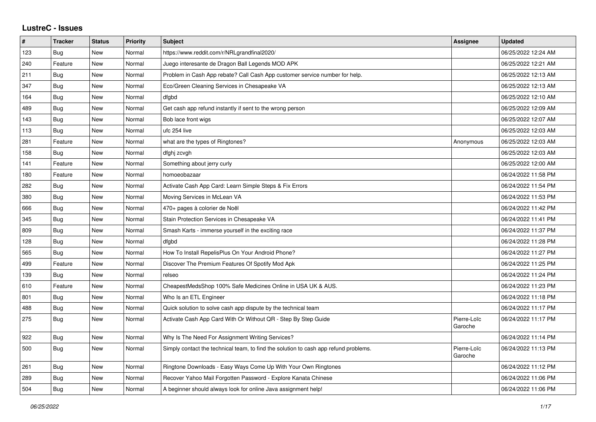## **LustreC - Issues**

| $\vert$ # | <b>Tracker</b> | <b>Status</b> | <b>Priority</b> | <b>Subject</b>                                                                       | Assignee               | <b>Updated</b>      |
|-----------|----------------|---------------|-----------------|--------------------------------------------------------------------------------------|------------------------|---------------------|
| 123       | Bug            | <b>New</b>    | Normal          | https://www.reddit.com/r/NRLgrandfinal2020/                                          |                        | 06/25/2022 12:24 AM |
| 240       | Feature        | <b>New</b>    | Normal          | Juego interesante de Dragon Ball Legends MOD APK                                     |                        | 06/25/2022 12:21 AM |
| 211       | <b>Bug</b>     | New           | Normal          | Problem in Cash App rebate? Call Cash App customer service number for help.          |                        | 06/25/2022 12:13 AM |
| 347       | <b>Bug</b>     | <b>New</b>    | Normal          | Eco/Green Cleaning Services in Chesapeake VA                                         |                        | 06/25/2022 12:13 AM |
| 164       | Bug            | <b>New</b>    | Normal          | dfgbd                                                                                |                        | 06/25/2022 12:10 AM |
| 489       | Bug            | New           | Normal          | Get cash app refund instantly if sent to the wrong person                            |                        | 06/25/2022 12:09 AM |
| 143       | <b>Bug</b>     | New           | Normal          | Bob lace front wigs                                                                  |                        | 06/25/2022 12:07 AM |
| 113       | Bug            | <b>New</b>    | Normal          | ufc 254 live                                                                         |                        | 06/25/2022 12:03 AM |
| 281       | Feature        | <b>New</b>    | Normal          | what are the types of Ringtones?                                                     | Anonymous              | 06/25/2022 12:03 AM |
| 158       | <b>Bug</b>     | <b>New</b>    | Normal          | dfghj zcvgh                                                                          |                        | 06/25/2022 12:03 AM |
| 141       | Feature        | <b>New</b>    | Normal          | Something about jerry curly                                                          |                        | 06/25/2022 12:00 AM |
| 180       | Feature        | New           | Normal          | homoeobazaar                                                                         |                        | 06/24/2022 11:58 PM |
| 282       | Bug            | <b>New</b>    | Normal          | Activate Cash App Card: Learn Simple Steps & Fix Errors                              |                        | 06/24/2022 11:54 PM |
| 380       | Bug            | <b>New</b>    | Normal          | Moving Services in McLean VA                                                         |                        | 06/24/2022 11:53 PM |
| 666       | Bug            | <b>New</b>    | Normal          | 470+ pages à colorier de Noël                                                        |                        | 06/24/2022 11:42 PM |
| 345       | Bug            | New           | Normal          | Stain Protection Services in Chesapeake VA                                           |                        | 06/24/2022 11:41 PM |
| 809       | Bug            | <b>New</b>    | Normal          | Smash Karts - immerse yourself in the exciting race                                  |                        | 06/24/2022 11:37 PM |
| 128       | <b>Bug</b>     | <b>New</b>    | Normal          | dfgbd                                                                                |                        | 06/24/2022 11:28 PM |
| 565       | Bug            | <b>New</b>    | Normal          | How To Install RepelisPlus On Your Android Phone?                                    |                        | 06/24/2022 11:27 PM |
| 499       | Feature        | <b>New</b>    | Normal          | Discover The Premium Features Of Spotify Mod Apk                                     |                        | 06/24/2022 11:25 PM |
| 139       | <b>Bug</b>     | <b>New</b>    | Normal          | relseo                                                                               |                        | 06/24/2022 11:24 PM |
| 610       | Feature        | <b>New</b>    | Normal          | CheapestMedsShop 100% Safe Medicines Online in USA UK & AUS.                         |                        | 06/24/2022 11:23 PM |
| 801       | Bug            | <b>New</b>    | Normal          | Who Is an ETL Engineer                                                               |                        | 06/24/2022 11:18 PM |
| 488       | Bug            | <b>New</b>    | Normal          | Quick solution to solve cash app dispute by the technical team                       |                        | 06/24/2022 11:17 PM |
| 275       | Bug            | <b>New</b>    | Normal          | Activate Cash App Card With Or Without QR - Step By Step Guide                       | Pierre-Loïc<br>Garoche | 06/24/2022 11:17 PM |
| 922       | <b>Bug</b>     | <b>New</b>    | Normal          | Why Is The Need For Assignment Writing Services?                                     |                        | 06/24/2022 11:14 PM |
| 500       | Bug            | <b>New</b>    | Normal          | Simply contact the technical team, to find the solution to cash app refund problems. | Pierre-Loïc<br>Garoche | 06/24/2022 11:13 PM |
| 261       | <b>Bug</b>     | <b>New</b>    | Normal          | Ringtone Downloads - Easy Ways Come Up With Your Own Ringtones                       |                        | 06/24/2022 11:12 PM |
| 289       | Bug            | <b>New</b>    | Normal          | Recover Yahoo Mail Forgotten Password - Explore Kanata Chinese                       |                        | 06/24/2022 11:06 PM |
| 504       | Bug            | <b>New</b>    | Normal          | A beginner should always look for online Java assignment help!                       |                        | 06/24/2022 11:06 PM |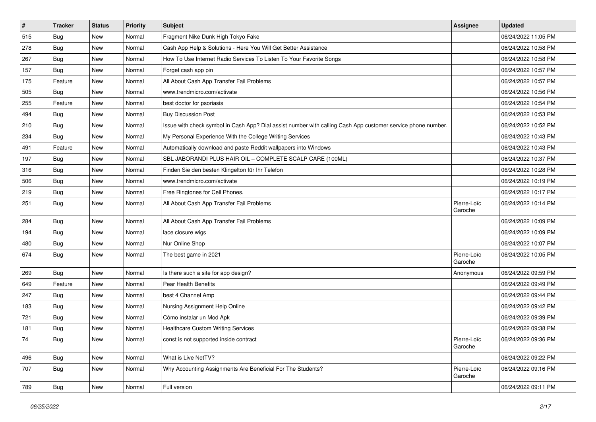| $\vert$ # | <b>Tracker</b> | <b>Status</b> | <b>Priority</b> | Subject                                                                                                      | <b>Assignee</b>        | <b>Updated</b>      |
|-----------|----------------|---------------|-----------------|--------------------------------------------------------------------------------------------------------------|------------------------|---------------------|
| 515       | <b>Bug</b>     | New           | Normal          | Fragment Nike Dunk High Tokyo Fake                                                                           |                        | 06/24/2022 11:05 PM |
| 278       | <b>Bug</b>     | <b>New</b>    | Normal          | Cash App Help & Solutions - Here You Will Get Better Assistance                                              |                        | 06/24/2022 10:58 PM |
| 267       | Bug            | New           | Normal          | How To Use Internet Radio Services To Listen To Your Favorite Songs                                          |                        | 06/24/2022 10:58 PM |
| 157       | <b>Bug</b>     | New           | Normal          | Forget cash app pin                                                                                          |                        | 06/24/2022 10:57 PM |
| 175       | Feature        | New           | Normal          | All About Cash App Transfer Fail Problems                                                                    |                        | 06/24/2022 10:57 PM |
| 505       | <b>Bug</b>     | New           | Normal          | www.trendmicro.com/activate                                                                                  |                        | 06/24/2022 10:56 PM |
| 255       | Feature        | New           | Normal          | best doctor for psoriasis                                                                                    |                        | 06/24/2022 10:54 PM |
| 494       | <b>Bug</b>     | New           | Normal          | <b>Buy Discussion Post</b>                                                                                   |                        | 06/24/2022 10:53 PM |
| 210       | Bug            | New           | Normal          | Issue with check symbol in Cash App? Dial assist number with calling Cash App customer service phone number. |                        | 06/24/2022 10:52 PM |
| 234       | <b>Bug</b>     | New           | Normal          | My Personal Experience With the College Writing Services                                                     |                        | 06/24/2022 10:43 PM |
| 491       | Feature        | New           | Normal          | Automatically download and paste Reddit wallpapers into Windows                                              |                        | 06/24/2022 10:43 PM |
| 197       | Bug            | New           | Normal          | SBL JABORANDI PLUS HAIR OIL - COMPLETE SCALP CARE (100ML)                                                    |                        | 06/24/2022 10:37 PM |
| 316       | Bug            | New           | Normal          | Finden Sie den besten Klingelton für Ihr Telefon                                                             |                        | 06/24/2022 10:28 PM |
| 506       | Bug            | New           | Normal          | www.trendmicro.com/activate                                                                                  |                        | 06/24/2022 10:19 PM |
| 219       | Bug            | <b>New</b>    | Normal          | Free Ringtones for Cell Phones.                                                                              |                        | 06/24/2022 10:17 PM |
| 251       | Bug            | New           | Normal          | All About Cash App Transfer Fail Problems                                                                    | Pierre-Loïc<br>Garoche | 06/24/2022 10:14 PM |
| 284       | Bug            | New           | Normal          | All About Cash App Transfer Fail Problems                                                                    |                        | 06/24/2022 10:09 PM |
| 194       | Bug            | New           | Normal          | lace closure wigs                                                                                            |                        | 06/24/2022 10:09 PM |
| 480       | Bug            | New           | Normal          | Nur Online Shop                                                                                              |                        | 06/24/2022 10:07 PM |
| 674       | <b>Bug</b>     | New           | Normal          | The best game in 2021                                                                                        | Pierre-Loïc<br>Garoche | 06/24/2022 10:05 PM |
| 269       | Bug            | New           | Normal          | Is there such a site for app design?                                                                         | Anonymous              | 06/24/2022 09:59 PM |
| 649       | Feature        | New           | Normal          | Pear Health Benefits                                                                                         |                        | 06/24/2022 09:49 PM |
| 247       | <b>Bug</b>     | <b>New</b>    | Normal          | best 4 Channel Amp                                                                                           |                        | 06/24/2022 09:44 PM |
| 183       | Bug            | New           | Normal          | Nursing Assignment Help Online                                                                               |                        | 06/24/2022 09:42 PM |
| 721       | Bug            | New           | Normal          | Cómo instalar un Mod Apk                                                                                     |                        | 06/24/2022 09:39 PM |
| 181       | Bug            | New           | Normal          | <b>Healthcare Custom Writing Services</b>                                                                    |                        | 06/24/2022 09:38 PM |
| 74        | <b>Bug</b>     | New           | Normal          | const is not supported inside contract                                                                       | Pierre-Loïc<br>Garoche | 06/24/2022 09:36 PM |
| 496       | Bug            | New           | Normal          | What is Live NetTV?                                                                                          |                        | 06/24/2022 09:22 PM |
| 707       | Bug            | New           | Normal          | Why Accounting Assignments Are Beneficial For The Students?                                                  | Pierre-Loïc<br>Garoche | 06/24/2022 09:16 PM |
| 789       | Bug            | New           | Normal          | Full version                                                                                                 |                        | 06/24/2022 09:11 PM |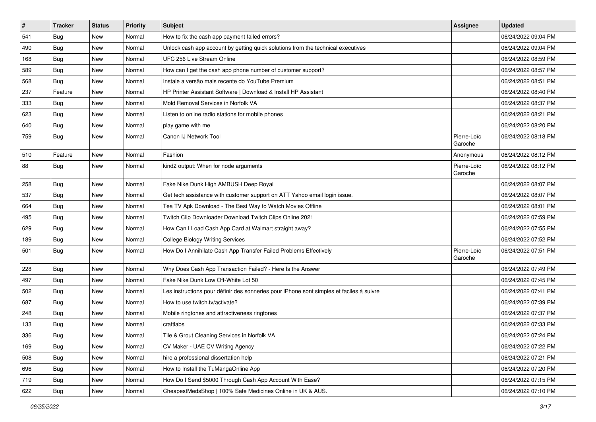| $\vert$ # | <b>Tracker</b> | <b>Status</b> | <b>Priority</b> | Subject                                                                                  | <b>Assignee</b>        | <b>Updated</b>      |
|-----------|----------------|---------------|-----------------|------------------------------------------------------------------------------------------|------------------------|---------------------|
| 541       | <b>Bug</b>     | New           | Normal          | How to fix the cash app payment failed errors?                                           |                        | 06/24/2022 09:04 PM |
| 490       | <b>Bug</b>     | New           | Normal          | Unlock cash app account by getting quick solutions from the technical executives         |                        | 06/24/2022 09:04 PM |
| 168       | <b>Bug</b>     | New           | Normal          | UFC 256 Live Stream Online                                                               |                        | 06/24/2022 08:59 PM |
| 589       | Bug            | New           | Normal          | How can I get the cash app phone number of customer support?                             |                        | 06/24/2022 08:57 PM |
| 568       | Bug            | New           | Normal          | Instale a versão mais recente do YouTube Premium                                         |                        | 06/24/2022 08:51 PM |
| 237       | Feature        | New           | Normal          | HP Printer Assistant Software   Download & Install HP Assistant                          |                        | 06/24/2022 08:40 PM |
| 333       | <b>Bug</b>     | New           | Normal          | Mold Removal Services in Norfolk VA                                                      |                        | 06/24/2022 08:37 PM |
| 623       | Bug            | New           | Normal          | Listen to online radio stations for mobile phones                                        |                        | 06/24/2022 08:21 PM |
| 640       | <b>Bug</b>     | New           | Normal          | play game with me                                                                        |                        | 06/24/2022 08:20 PM |
| 759       | <b>Bug</b>     | New           | Normal          | Canon IJ Network Tool                                                                    | Pierre-Loïc<br>Garoche | 06/24/2022 08:18 PM |
| 510       | Feature        | <b>New</b>    | Normal          | Fashion                                                                                  | Anonymous              | 06/24/2022 08:12 PM |
| 88        | Bug            | New           | Normal          | kind2 output: When for node arguments                                                    | Pierre-Loïc<br>Garoche | 06/24/2022 08:12 PM |
| 258       | <b>Bug</b>     | New           | Normal          | Fake Nike Dunk High AMBUSH Deep Royal                                                    |                        | 06/24/2022 08:07 PM |
| 537       | Bug            | New           | Normal          | Get tech assistance with customer support on ATT Yahoo email login issue.                |                        | 06/24/2022 08:07 PM |
| 664       | <b>Bug</b>     | New           | Normal          | Tea TV Apk Download - The Best Way to Watch Movies Offline                               |                        | 06/24/2022 08:01 PM |
| 495       | Bug            | New           | Normal          | Twitch Clip Downloader Download Twitch Clips Online 2021                                 |                        | 06/24/2022 07:59 PM |
| 629       | <b>Bug</b>     | New           | Normal          | How Can I Load Cash App Card at Walmart straight away?                                   |                        | 06/24/2022 07:55 PM |
| 189       | <b>Bug</b>     | New           | Normal          | <b>College Biology Writing Services</b>                                                  |                        | 06/24/2022 07:52 PM |
| 501       | Bug            | New           | Normal          | How Do I Annihilate Cash App Transfer Failed Problems Effectively                        | Pierre-Loïc<br>Garoche | 06/24/2022 07:51 PM |
| 228       | <b>Bug</b>     | New           | Normal          | Why Does Cash App Transaction Failed? - Here Is the Answer                               |                        | 06/24/2022 07:49 PM |
| 497       | <b>Bug</b>     | New           | Normal          | Fake Nike Dunk Low Off-White Lot 50                                                      |                        | 06/24/2022 07:45 PM |
| 502       | <b>Bug</b>     | New           | Normal          | Les instructions pour définir des sonneries pour iPhone sont simples et faciles à suivre |                        | 06/24/2022 07:41 PM |
| 687       | Bug            | New           | Normal          | How to use twitch.tv/activate?                                                           |                        | 06/24/2022 07:39 PM |
| 248       | <b>Bug</b>     | New           | Normal          | Mobile ringtones and attractiveness ringtones                                            |                        | 06/24/2022 07:37 PM |
| 133       | <b>Bug</b>     | New           | Normal          | craftlabs                                                                                |                        | 06/24/2022 07:33 PM |
| 336       | <b>Bug</b>     | New           | Normal          | Tile & Grout Cleaning Services in Norfolk VA                                             |                        | 06/24/2022 07:24 PM |
| 169       | <b>Bug</b>     | New           | Normal          | CV Maker - UAE CV Writing Agency                                                         |                        | 06/24/2022 07:22 PM |
| 508       | <b>Bug</b>     | New           | Normal          | hire a professional dissertation help                                                    |                        | 06/24/2022 07:21 PM |
| 696       | Bug            | New           | Normal          | How to Install the TuMangaOnline App                                                     |                        | 06/24/2022 07:20 PM |
| 719       | Bug            | New           | Normal          | How Do I Send \$5000 Through Cash App Account With Ease?                                 |                        | 06/24/2022 07:15 PM |
| 622       | <b>Bug</b>     | New           | Normal          | CheapestMedsShop   100% Safe Medicines Online in UK & AUS.                               |                        | 06/24/2022 07:10 PM |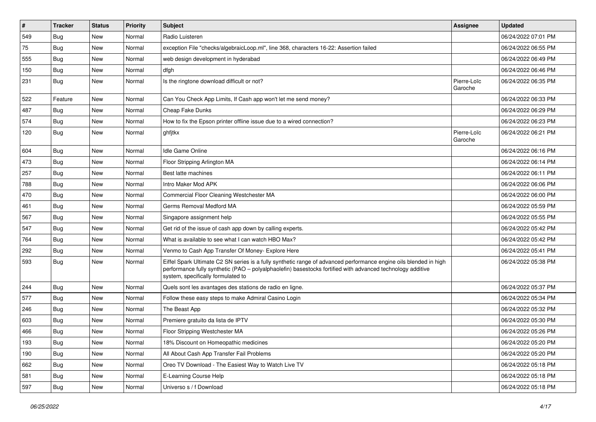| $\vert$ # | <b>Tracker</b> | <b>Status</b> | Priority | Subject                                                                                                                                                                                                                                                               | <b>Assignee</b>        | <b>Updated</b>      |
|-----------|----------------|---------------|----------|-----------------------------------------------------------------------------------------------------------------------------------------------------------------------------------------------------------------------------------------------------------------------|------------------------|---------------------|
| 549       | <b>Bug</b>     | New           | Normal   | Radio Luisteren                                                                                                                                                                                                                                                       |                        | 06/24/2022 07:01 PM |
| 75        | Bug            | <b>New</b>    | Normal   | exception File "checks/algebraicLoop.ml", line 368, characters 16-22: Assertion failed                                                                                                                                                                                |                        | 06/24/2022 06:55 PM |
| 555       | <b>Bug</b>     | New           | Normal   | web design development in hyderabad                                                                                                                                                                                                                                   |                        | 06/24/2022 06:49 PM |
| 150       | <b>Bug</b>     | New           | Normal   | dfgh                                                                                                                                                                                                                                                                  |                        | 06/24/2022 06:46 PM |
| 231       | Bug            | New           | Normal   | Is the ringtone download difficult or not?                                                                                                                                                                                                                            | Pierre-Loïc<br>Garoche | 06/24/2022 06:35 PM |
| 522       | Feature        | New           | Normal   | Can You Check App Limits, If Cash app won't let me send money?                                                                                                                                                                                                        |                        | 06/24/2022 06:33 PM |
| 487       | Bug            | New           | Normal   | Cheap Fake Dunks                                                                                                                                                                                                                                                      |                        | 06/24/2022 06:29 PM |
| 574       | <b>Bug</b>     | New           | Normal   | How to fix the Epson printer offline issue due to a wired connection?                                                                                                                                                                                                 |                        | 06/24/2022 06:23 PM |
| 120       | <b>Bug</b>     | New           | Normal   | ghfjtkx                                                                                                                                                                                                                                                               | Pierre-Loïc<br>Garoche | 06/24/2022 06:21 PM |
| 604       | Bug            | <b>New</b>    | Normal   | <b>Idle Game Online</b>                                                                                                                                                                                                                                               |                        | 06/24/2022 06:16 PM |
| 473       | Bug            | New           | Normal   | Floor Stripping Arlington MA                                                                                                                                                                                                                                          |                        | 06/24/2022 06:14 PM |
| 257       | <b>Bug</b>     | New           | Normal   | Best latte machines                                                                                                                                                                                                                                                   |                        | 06/24/2022 06:11 PM |
| 788       | Bug            | New           | Normal   | Intro Maker Mod APK                                                                                                                                                                                                                                                   |                        | 06/24/2022 06:06 PM |
| 470       | Bug            | New           | Normal   | Commercial Floor Cleaning Westchester MA                                                                                                                                                                                                                              |                        | 06/24/2022 06:00 PM |
| 461       | Bug            | New           | Normal   | Germs Removal Medford MA                                                                                                                                                                                                                                              |                        | 06/24/2022 05:59 PM |
| 567       | Bug            | New           | Normal   | Singapore assignment help                                                                                                                                                                                                                                             |                        | 06/24/2022 05:55 PM |
| 547       | <b>Bug</b>     | New           | Normal   | Get rid of the issue of cash app down by calling experts.                                                                                                                                                                                                             |                        | 06/24/2022 05:42 PM |
| 764       | <b>Bug</b>     | New           | Normal   | What is available to see what I can watch HBO Max?                                                                                                                                                                                                                    |                        | 06/24/2022 05:42 PM |
| 292       | Bug            | <b>New</b>    | Normal   | Venmo to Cash App Transfer Of Money- Explore Here                                                                                                                                                                                                                     |                        | 06/24/2022 05:41 PM |
| 593       | <b>Bug</b>     | New           | Normal   | Eiffel Spark Ultimate C2 SN series is a fully synthetic range of advanced performance engine oils blended in high<br>performance fully synthetic (PAO - polyalphaolefin) basestocks fortified with advanced technology additive<br>system, specifically formulated to |                        | 06/24/2022 05:38 PM |
| 244       | <b>Bug</b>     | New           | Normal   | Quels sont les avantages des stations de radio en ligne.                                                                                                                                                                                                              |                        | 06/24/2022 05:37 PM |
| 577       | Bug            | New           | Normal   | Follow these easy steps to make Admiral Casino Login                                                                                                                                                                                                                  |                        | 06/24/2022 05:34 PM |
| 246       | <b>Bug</b>     | New           | Normal   | The Beast App                                                                                                                                                                                                                                                         |                        | 06/24/2022 05:32 PM |
| 603       | <b>Bug</b>     | New           | Normal   | Premiere gratuito da lista de IPTV                                                                                                                                                                                                                                    |                        | 06/24/2022 05:30 PM |
| 466       | Bug            | New           | Normal   | Floor Stripping Westchester MA                                                                                                                                                                                                                                        |                        | 06/24/2022 05:26 PM |
| 193       | <b>Bug</b>     | New           | Normal   | 18% Discount on Homeopathic medicines                                                                                                                                                                                                                                 |                        | 06/24/2022 05:20 PM |
| 190       | <b>Bug</b>     | New           | Normal   | All About Cash App Transfer Fail Problems                                                                                                                                                                                                                             |                        | 06/24/2022 05:20 PM |
| 662       | <b>Bug</b>     | New           | Normal   | Oreo TV Download - The Easiest Way to Watch Live TV                                                                                                                                                                                                                   |                        | 06/24/2022 05:18 PM |
| 581       | <b>Bug</b>     | New           | Normal   | E-Learning Course Help                                                                                                                                                                                                                                                |                        | 06/24/2022 05:18 PM |
| 597       | <b>Bug</b>     | New           | Normal   | Universo s / f Download                                                                                                                                                                                                                                               |                        | 06/24/2022 05:18 PM |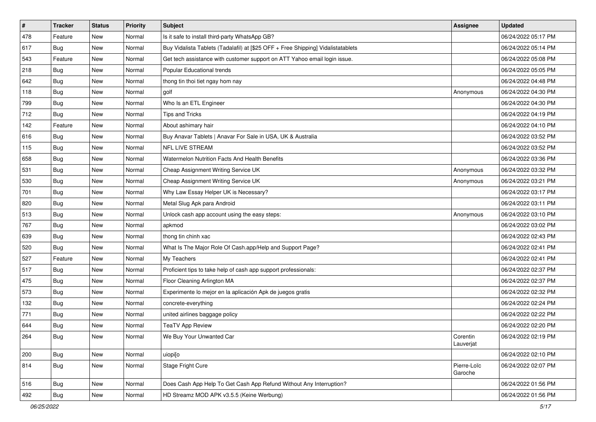| #   | <b>Tracker</b> | <b>Status</b> | <b>Priority</b> | <b>Subject</b>                                                                   | <b>Assignee</b>        | <b>Updated</b>      |
|-----|----------------|---------------|-----------------|----------------------------------------------------------------------------------|------------------------|---------------------|
| 478 | Feature        | New           | Normal          | Is it safe to install third-party WhatsApp GB?                                   |                        | 06/24/2022 05:17 PM |
| 617 | Bug            | New           | Normal          | Buy Vidalista Tablets (Tadalafil) at [\$25 OFF + Free Shipping] Vidalistatablets |                        | 06/24/2022 05:14 PM |
| 543 | Feature        | New           | Normal          | Get tech assistance with customer support on ATT Yahoo email login issue.        |                        | 06/24/2022 05:08 PM |
| 218 | <b>Bug</b>     | New           | Normal          | Popular Educational trends                                                       |                        | 06/24/2022 05:05 PM |
| 642 | Bug            | New           | Normal          | thong tin thoi tiet ngay hom nay                                                 |                        | 06/24/2022 04:48 PM |
| 118 | Bug            | New           | Normal          | golf                                                                             | Anonymous              | 06/24/2022 04:30 PM |
| 799 | <b>Bug</b>     | New           | Normal          | Who Is an ETL Engineer                                                           |                        | 06/24/2022 04:30 PM |
| 712 | Bug            | New           | Normal          | <b>Tips and Tricks</b>                                                           |                        | 06/24/2022 04:19 PM |
| 142 | Feature        | New           | Normal          | About ashimary hair                                                              |                        | 06/24/2022 04:10 PM |
| 616 | <b>Bug</b>     | New           | Normal          | Buy Anavar Tablets   Anavar For Sale in USA, UK & Australia                      |                        | 06/24/2022 03:52 PM |
| 115 | <b>Bug</b>     | New           | Normal          | NFL LIVE STREAM                                                                  |                        | 06/24/2022 03:52 PM |
| 658 | Bug            | New           | Normal          | Watermelon Nutrition Facts And Health Benefits                                   |                        | 06/24/2022 03:36 PM |
| 531 | Bug            | New           | Normal          | Cheap Assignment Writing Service UK                                              | Anonymous              | 06/24/2022 03:32 PM |
| 530 | <b>Bug</b>     | New           | Normal          | Cheap Assignment Writing Service UK                                              | Anonymous              | 06/24/2022 03:21 PM |
| 701 | <b>Bug</b>     | New           | Normal          | Why Law Essay Helper UK is Necessary?                                            |                        | 06/24/2022 03:17 PM |
| 820 | Bug            | New           | Normal          | Metal Slug Apk para Android                                                      |                        | 06/24/2022 03:11 PM |
| 513 | <b>Bug</b>     | New           | Normal          | Unlock cash app account using the easy steps:                                    | Anonymous              | 06/24/2022 03:10 PM |
| 767 | Bug            | New           | Normal          | apkmod                                                                           |                        | 06/24/2022 03:02 PM |
| 639 | <b>Bug</b>     | New           | Normal          | thong tin chinh xac                                                              |                        | 06/24/2022 02:43 PM |
| 520 | <b>Bug</b>     | New           | Normal          | What Is The Major Role Of Cash.app/Help and Support Page?                        |                        | 06/24/2022 02:41 PM |
| 527 | Feature        | New           | Normal          | My Teachers                                                                      |                        | 06/24/2022 02:41 PM |
| 517 | <b>Bug</b>     | New           | Normal          | Proficient tips to take help of cash app support professionals:                  |                        | 06/24/2022 02:37 PM |
| 475 | Bug            | New           | Normal          | Floor Cleaning Arlington MA                                                      |                        | 06/24/2022 02:37 PM |
| 573 | <b>Bug</b>     | New           | Normal          | Experimente lo mejor en la aplicación Apk de juegos gratis                       |                        | 06/24/2022 02:32 PM |
| 132 | <b>Bug</b>     | New           | Normal          | concrete-everything                                                              |                        | 06/24/2022 02:24 PM |
| 771 | <b>Bug</b>     | New           | Normal          | united airlines baggage policy                                                   |                        | 06/24/2022 02:22 PM |
| 644 | <b>Bug</b>     | New           | Normal          | <b>TeaTV App Review</b>                                                          |                        | 06/24/2022 02:20 PM |
| 264 | Bug            | New           | Normal          | We Buy Your Unwanted Car                                                         | Corentin<br>Lauverjat  | 06/24/2022 02:19 PM |
| 200 | <b>Bug</b>     | New           | Normal          | uiopi[o                                                                          |                        | 06/24/2022 02:10 PM |
| 814 | Bug            | New           | Normal          | Stage Fright Cure                                                                | Pierre-Loïc<br>Garoche | 06/24/2022 02:07 PM |
| 516 | <b>Bug</b>     | New           | Normal          | Does Cash App Help To Get Cash App Refund Without Any Interruption?              |                        | 06/24/2022 01:56 PM |
| 492 | <b>Bug</b>     | New           | Normal          | HD Streamz MOD APK v3.5.5 (Keine Werbung)                                        |                        | 06/24/2022 01:56 PM |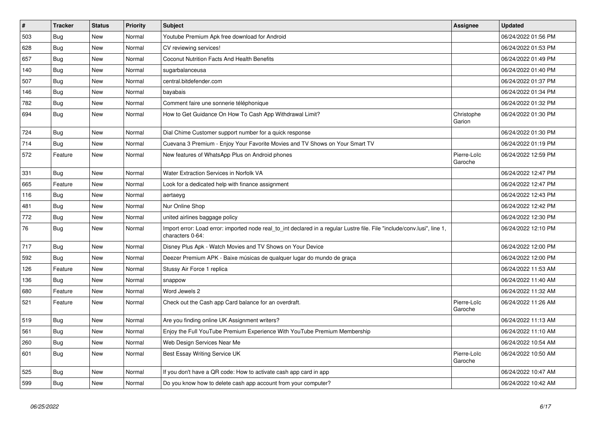| $\vert$ # | <b>Tracker</b> | <b>Status</b> | Priority | <b>Subject</b>                                                                                                                               | <b>Assignee</b>        | <b>Updated</b>      |
|-----------|----------------|---------------|----------|----------------------------------------------------------------------------------------------------------------------------------------------|------------------------|---------------------|
| 503       | Bug            | <b>New</b>    | Normal   | Youtube Premium Apk free download for Android                                                                                                |                        | 06/24/2022 01:56 PM |
| 628       | <b>Bug</b>     | New           | Normal   | CV reviewing services!                                                                                                                       |                        | 06/24/2022 01:53 PM |
| 657       | Bug            | New           | Normal   | <b>Coconut Nutrition Facts And Health Benefits</b>                                                                                           |                        | 06/24/2022 01:49 PM |
| 140       | <b>Bug</b>     | New           | Normal   | sugarbalanceusa                                                                                                                              |                        | 06/24/2022 01:40 PM |
| 507       | <b>Bug</b>     | New           | Normal   | central.bitdefender.com                                                                                                                      |                        | 06/24/2022 01:37 PM |
| 146       | <b>Bug</b>     | New           | Normal   | bayabais                                                                                                                                     |                        | 06/24/2022 01:34 PM |
| 782       | Bug            | New           | Normal   | Comment faire une sonnerie téléphonique                                                                                                      |                        | 06/24/2022 01:32 PM |
| 694       | <b>Bug</b>     | New           | Normal   | How to Get Guidance On How To Cash App Withdrawal Limit?                                                                                     | Christophe<br>Garion   | 06/24/2022 01:30 PM |
| 724       | <b>Bug</b>     | New           | Normal   | Dial Chime Customer support number for a quick response                                                                                      |                        | 06/24/2022 01:30 PM |
| 714       | Bug            | New           | Normal   | Cuevana 3 Premium - Enjoy Your Favorite Movies and TV Shows on Your Smart TV                                                                 |                        | 06/24/2022 01:19 PM |
| 572       | Feature        | New           | Normal   | New features of WhatsApp Plus on Android phones                                                                                              | Pierre-Loïc<br>Garoche | 06/24/2022 12:59 PM |
| 331       | <b>Bug</b>     | New           | Normal   | <b>Water Extraction Services in Norfolk VA</b>                                                                                               |                        | 06/24/2022 12:47 PM |
| 665       | Feature        | New           | Normal   | Look for a dedicated help with finance assignment                                                                                            |                        | 06/24/2022 12:47 PM |
| 116       | <b>Bug</b>     | New           | Normal   | aertaeyg                                                                                                                                     |                        | 06/24/2022 12:43 PM |
| 481       | Bug            | New           | Normal   | Nur Online Shop                                                                                                                              |                        | 06/24/2022 12:42 PM |
| 772       | <b>Bug</b>     | New           | Normal   | united airlines baggage policy                                                                                                               |                        | 06/24/2022 12:30 PM |
| 76        | Bug            | New           | Normal   | Import error: Load error: imported node real_to_int declared in a regular Lustre file. File "include/conv.lusi", line 1,<br>characters 0-64: |                        | 06/24/2022 12:10 PM |
| 717       | Bug            | <b>New</b>    | Normal   | Disney Plus Apk - Watch Movies and TV Shows on Your Device                                                                                   |                        | 06/24/2022 12:00 PM |
| 592       | Bug            | New           | Normal   | Deezer Premium APK - Baixe músicas de qualquer lugar do mundo de graça                                                                       |                        | 06/24/2022 12:00 PM |
| 126       | Feature        | New           | Normal   | Stussy Air Force 1 replica                                                                                                                   |                        | 06/24/2022 11:53 AM |
| 136       | <b>Bug</b>     | New           | Normal   | snappow                                                                                                                                      |                        | 06/24/2022 11:40 AM |
| 680       | Feature        | New           | Normal   | Word Jewels 2                                                                                                                                |                        | 06/24/2022 11:32 AM |
| 521       | Feature        | New           | Normal   | Check out the Cash app Card balance for an overdraft.                                                                                        | Pierre-Loïc<br>Garoche | 06/24/2022 11:26 AM |
| 519       | <b>Bug</b>     | <b>New</b>    | Normal   | Are you finding online UK Assignment writers?                                                                                                |                        | 06/24/2022 11:13 AM |
| 561       | <b>Bug</b>     | New           | Normal   | Enjoy the Full YouTube Premium Experience With YouTube Premium Membership                                                                    |                        | 06/24/2022 11:10 AM |
| 260       | <b>Bug</b>     | New           | Normal   | Web Design Services Near Me                                                                                                                  |                        | 06/24/2022 10:54 AM |
| 601       | <b>Bug</b>     | New           | Normal   | Best Essay Writing Service UK                                                                                                                | Pierre-Loïc<br>Garoche | 06/24/2022 10:50 AM |
| 525       | <b>Bug</b>     | <b>New</b>    | Normal   | If you don't have a QR code: How to activate cash app card in app                                                                            |                        | 06/24/2022 10:47 AM |
| 599       | Bug            | New           | Normal   | Do you know how to delete cash app account from your computer?                                                                               |                        | 06/24/2022 10:42 AM |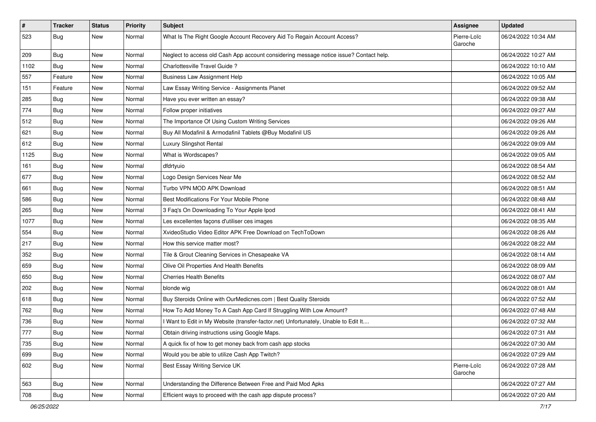| $\vert$ # | <b>Tracker</b> | <b>Status</b> | <b>Priority</b> | <b>Subject</b>                                                                         | <b>Assignee</b>        | <b>Updated</b>      |
|-----------|----------------|---------------|-----------------|----------------------------------------------------------------------------------------|------------------------|---------------------|
| 523       | <b>Bug</b>     | New           | Normal          | What Is The Right Google Account Recovery Aid To Regain Account Access?                | Pierre-Loïc<br>Garoche | 06/24/2022 10:34 AM |
| 209       | Bug            | <b>New</b>    | Normal          | Neglect to access old Cash App account considering message notice issue? Contact help. |                        | 06/24/2022 10:27 AM |
| 1102      | Bug            | New           | Normal          | Charlottesville Travel Guide?                                                          |                        | 06/24/2022 10:10 AM |
| 557       | Feature        | New           | Normal          | <b>Business Law Assignment Help</b>                                                    |                        | 06/24/2022 10:05 AM |
| 151       | Feature        | New           | Normal          | Law Essay Writing Service - Assignments Planet                                         |                        | 06/24/2022 09:52 AM |
| 285       | Bug            | New           | Normal          | Have you ever written an essay?                                                        |                        | 06/24/2022 09:38 AM |
| 774       | Bug            | New           | Normal          | Follow proper initiatives                                                              |                        | 06/24/2022 09:27 AM |
| 512       | <b>Bug</b>     | New           | Normal          | The Importance Of Using Custom Writing Services                                        |                        | 06/24/2022 09:26 AM |
| 621       | <b>Bug</b>     | New           | Normal          | Buy All Modafinil & Armodafinil Tablets @Buy Modafinil US                              |                        | 06/24/2022 09:26 AM |
| 612       | <b>Bug</b>     | New           | Normal          | Luxury Slingshot Rental                                                                |                        | 06/24/2022 09:09 AM |
| 1125      | <b>Bug</b>     | New           | Normal          | What is Wordscapes?                                                                    |                        | 06/24/2022 09:05 AM |
| 161       | <b>Bug</b>     | New           | Normal          | dfdrtyuio                                                                              |                        | 06/24/2022 08:54 AM |
| 677       | <b>Bug</b>     | New           | Normal          | Logo Design Services Near Me                                                           |                        | 06/24/2022 08:52 AM |
| 661       | <b>Bug</b>     | New           | Normal          | Turbo VPN MOD APK Download                                                             |                        | 06/24/2022 08:51 AM |
| 586       | Bug            | New           | Normal          | Best Modifications For Your Mobile Phone                                               |                        | 06/24/2022 08:48 AM |
| 265       | <b>Bug</b>     | New           | Normal          | 3 Faq's On Downloading To Your Apple Ipod                                              |                        | 06/24/2022 08:41 AM |
| 1077      | <b>Bug</b>     | New           | Normal          | Les excellentes façons d'utiliser ces images                                           |                        | 06/24/2022 08:35 AM |
| 554       | <b>Bug</b>     | New           | Normal          | XvideoStudio Video Editor APK Free Download on TechToDown                              |                        | 06/24/2022 08:26 AM |
| 217       | Bug            | New           | Normal          | How this service matter most?                                                          |                        | 06/24/2022 08:22 AM |
| 352       | Bug            | New           | Normal          | Tile & Grout Cleaning Services in Chesapeake VA                                        |                        | 06/24/2022 08:14 AM |
| 659       | Bug            | New           | Normal          | Olive Oil Properties And Health Benefits                                               |                        | 06/24/2022 08:09 AM |
| 650       | <b>Bug</b>     | New           | Normal          | <b>Cherries Health Benefits</b>                                                        |                        | 06/24/2022 08:07 AM |
| 202       | <b>Bug</b>     | New           | Normal          | blonde wig                                                                             |                        | 06/24/2022 08:01 AM |
| 618       | <b>Bug</b>     | New           | Normal          | Buy Steroids Online with OurMedicnes.com   Best Quality Steroids                       |                        | 06/24/2022 07:52 AM |
| 762       | <b>Bug</b>     | New           | Normal          | How To Add Money To A Cash App Card If Struggling With Low Amount?                     |                        | 06/24/2022 07:48 AM |
| 736       | <b>Bug</b>     | New           | Normal          | I Want to Edit in My Website (transfer-factor.net) Unfortunately, Unable to Edit It    |                        | 06/24/2022 07:32 AM |
| 777       | <b>Bug</b>     | New           | Normal          | Obtain driving instructions using Google Maps.                                         |                        | 06/24/2022 07:31 AM |
| 735       | <b>Bug</b>     | New           | Normal          | A quick fix of how to get money back from cash app stocks                              |                        | 06/24/2022 07:30 AM |
| 699       | <b>Bug</b>     | New           | Normal          | Would you be able to utilize Cash App Twitch?                                          |                        | 06/24/2022 07:29 AM |
| 602       | <b>Bug</b>     | New           | Normal          | Best Essay Writing Service UK                                                          | Pierre-Loïc<br>Garoche | 06/24/2022 07:28 AM |
| 563       | <b>Bug</b>     | New           | Normal          | Understanding the Difference Between Free and Paid Mod Apks                            |                        | 06/24/2022 07:27 AM |
| 708       | <b>Bug</b>     | New           | Normal          | Efficient ways to proceed with the cash app dispute process?                           |                        | 06/24/2022 07:20 AM |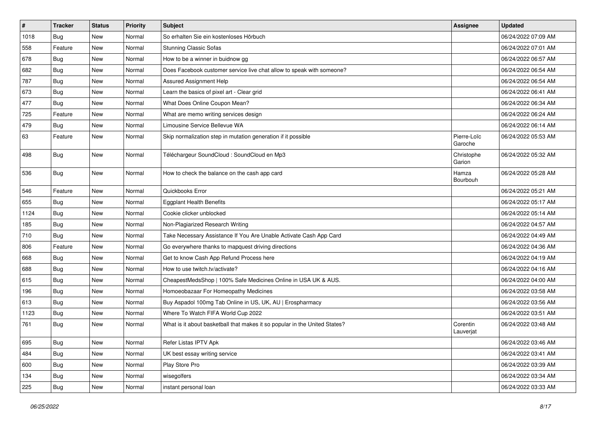| $\vert$ # | <b>Tracker</b> | <b>Status</b> | <b>Priority</b> | <b>Subject</b>                                                             | <b>Assignee</b>        | <b>Updated</b>      |
|-----------|----------------|---------------|-----------------|----------------------------------------------------------------------------|------------------------|---------------------|
| 1018      | Bug            | New           | Normal          | So erhalten Sie ein kostenloses Hörbuch                                    |                        | 06/24/2022 07:09 AM |
| 558       | Feature        | New           | Normal          | <b>Stunning Classic Sofas</b>                                              |                        | 06/24/2022 07:01 AM |
| 678       | <b>Bug</b>     | New           | Normal          | How to be a winner in buidnow gg                                           |                        | 06/24/2022 06:57 AM |
| 682       | Bug            | New           | Normal          | Does Facebook customer service live chat allow to speak with someone?      |                        | 06/24/2022 06:54 AM |
| 787       | Bug            | New           | Normal          | Assured Assignment Help                                                    |                        | 06/24/2022 06:54 AM |
| 673       | <b>Bug</b>     | New           | Normal          | Learn the basics of pixel art - Clear grid                                 |                        | 06/24/2022 06:41 AM |
| 477       | <b>Bug</b>     | New           | Normal          | What Does Online Coupon Mean?                                              |                        | 06/24/2022 06:34 AM |
| 725       | Feature        | New           | Normal          | What are memo writing services design                                      |                        | 06/24/2022 06:24 AM |
| 479       | <b>Bug</b>     | New           | Normal          | Limousine Service Bellevue WA                                              |                        | 06/24/2022 06:14 AM |
| 63        | Feature        | New           | Normal          | Skip normalization step in mutation generation if it possible              | Pierre-Loïc<br>Garoche | 06/24/2022 05:53 AM |
| 498       | <b>Bug</b>     | New           | Normal          | Téléchargeur SoundCloud : SoundCloud en Mp3                                | Christophe<br>Garion   | 06/24/2022 05:32 AM |
| 536       | <b>Bug</b>     | New           | Normal          | How to check the balance on the cash app card                              | Hamza<br>Bourbouh      | 06/24/2022 05:28 AM |
| 546       | Feature        | New           | Normal          | Quickbooks Error                                                           |                        | 06/24/2022 05:21 AM |
| 655       | <b>Bug</b>     | New           | Normal          | <b>Eggplant Health Benefits</b>                                            |                        | 06/24/2022 05:17 AM |
| 1124      | <b>Bug</b>     | New           | Normal          | Cookie clicker unblocked                                                   |                        | 06/24/2022 05:14 AM |
| 185       | <b>Bug</b>     | New           | Normal          | Non-Plagiarized Research Writing                                           |                        | 06/24/2022 04:57 AM |
| 710       | <b>Bug</b>     | New           | Normal          | Take Necessary Assistance If You Are Unable Activate Cash App Card         |                        | 06/24/2022 04:49 AM |
| 806       | Feature        | New           | Normal          | Go everywhere thanks to mapquest driving directions                        |                        | 06/24/2022 04:36 AM |
| 668       | Bug            | New           | Normal          | Get to know Cash App Refund Process here                                   |                        | 06/24/2022 04:19 AM |
| 688       | Bug            | New           | Normal          | How to use twitch.tv/activate?                                             |                        | 06/24/2022 04:16 AM |
| 615       | <b>Bug</b>     | New           | Normal          | CheapestMedsShop   100% Safe Medicines Online in USA UK & AUS.             |                        | 06/24/2022 04:00 AM |
| 196       | Bug            | New           | Normal          | Homoeobazaar For Homeopathy Medicines                                      |                        | 06/24/2022 03:58 AM |
| 613       | Bug            | New           | Normal          | Buy Aspadol 100mg Tab Online in US, UK, AU   Erospharmacy                  |                        | 06/24/2022 03:56 AM |
| 1123      | <b>Bug</b>     | New           | Normal          | Where To Watch FIFA World Cup 2022                                         |                        | 06/24/2022 03:51 AM |
| 761       | <b>Bug</b>     | New           | Normal          | What is it about basketball that makes it so popular in the United States? | Corentin<br>Lauverjat  | 06/24/2022 03:48 AM |
| 695       | <b>Bug</b>     | New           | Normal          | Refer Listas IPTV Apk                                                      |                        | 06/24/2022 03:46 AM |
| 484       | <b>Bug</b>     | New           | Normal          | UK best essay writing service                                              |                        | 06/24/2022 03:41 AM |
| 600       | <b>Bug</b>     | New           | Normal          | Play Store Pro                                                             |                        | 06/24/2022 03:39 AM |
| 134       | <b>Bug</b>     | New           | Normal          | wisegolfers                                                                |                        | 06/24/2022 03:34 AM |
| 225       | <b>Bug</b>     | New           | Normal          | instant personal loan                                                      |                        | 06/24/2022 03:33 AM |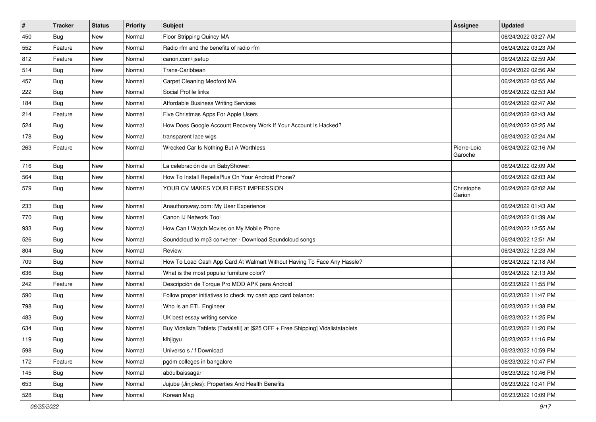| $\sharp$ | <b>Tracker</b> | <b>Status</b> | <b>Priority</b> | Subject                                                                          | <b>Assignee</b>        | <b>Updated</b>      |
|----------|----------------|---------------|-----------------|----------------------------------------------------------------------------------|------------------------|---------------------|
| 450      | <b>Bug</b>     | New           | Normal          | Floor Stripping Quincy MA                                                        |                        | 06/24/2022 03:27 AM |
| 552      | Feature        | New           | Normal          | Radio rfm and the benefits of radio rfm                                          |                        | 06/24/2022 03:23 AM |
| 812      | Feature        | New           | Normal          | canon.com/ijsetup                                                                |                        | 06/24/2022 02:59 AM |
| 514      | Bug            | New           | Normal          | Trans-Caribbean                                                                  |                        | 06/24/2022 02:56 AM |
| 457      | Bug            | New           | Normal          | Carpet Cleaning Medford MA                                                       |                        | 06/24/2022 02:55 AM |
| 222      | <b>Bug</b>     | New           | Normal          | Social Profile links                                                             |                        | 06/24/2022 02:53 AM |
| 184      | Bug            | New           | Normal          | Affordable Business Writing Services                                             |                        | 06/24/2022 02:47 AM |
| 214      | Feature        | New           | Normal          | Five Christmas Apps For Apple Users                                              |                        | 06/24/2022 02:43 AM |
| 524      | Bug            | New           | Normal          | How Does Google Account Recovery Work If Your Account Is Hacked?                 |                        | 06/24/2022 02:25 AM |
| 178      | Bug            | New           | Normal          | transparent lace wigs                                                            |                        | 06/24/2022 02:24 AM |
| 263      | Feature        | New           | Normal          | Wrecked Car Is Nothing But A Worthless                                           | Pierre-Loïc<br>Garoche | 06/24/2022 02:16 AM |
| 716      | Bug            | New           | Normal          | La celebración de un BabyShower.                                                 |                        | 06/24/2022 02:09 AM |
| 564      | Bug            | New           | Normal          | How To Install RepelisPlus On Your Android Phone?                                |                        | 06/24/2022 02:03 AM |
| 579      | <b>Bug</b>     | New           | Normal          | YOUR CV MAKES YOUR FIRST IMPRESSION                                              | Christophe<br>Garion   | 06/24/2022 02:02 AM |
| 233      | Bug            | New           | Normal          | Anauthorsway.com: My User Experience                                             |                        | 06/24/2022 01:43 AM |
| 770      | Bug            | New           | Normal          | Canon IJ Network Tool                                                            |                        | 06/24/2022 01:39 AM |
| 933      | <b>Bug</b>     | New           | Normal          | How Can I Watch Movies on My Mobile Phone                                        |                        | 06/24/2022 12:55 AM |
| 526      | <b>Bug</b>     | New           | Normal          | Soundcloud to mp3 converter - Download Soundcloud songs                          |                        | 06/24/2022 12:51 AM |
| 804      | Bug            | New           | Normal          | Review                                                                           |                        | 06/24/2022 12:23 AM |
| 709      | <b>Bug</b>     | New           | Normal          | How To Load Cash App Card At Walmart Without Having To Face Any Hassle?          |                        | 06/24/2022 12:18 AM |
| 636      | <b>Bug</b>     | New           | Normal          | What is the most popular furniture color?                                        |                        | 06/24/2022 12:13 AM |
| 242      | Feature        | New           | Normal          | Descripción de Torque Pro MOD APK para Android                                   |                        | 06/23/2022 11:55 PM |
| 590      | <b>Bug</b>     | New           | Normal          | Follow proper initiatives to check my cash app card balance:                     |                        | 06/23/2022 11:47 PM |
| 798      | Bug            | New           | Normal          | Who Is an ETL Engineer                                                           |                        | 06/23/2022 11:38 PM |
| 483      | <b>Bug</b>     | New           | Normal          | UK best essay writing service                                                    |                        | 06/23/2022 11:25 PM |
| 634      | <b>Bug</b>     | New           | Normal          | Buy Vidalista Tablets (Tadalafil) at [\$25 OFF + Free Shipping] Vidalistatablets |                        | 06/23/2022 11:20 PM |
| 119      | Bug            | New           | Normal          | klhjigyu                                                                         |                        | 06/23/2022 11:16 PM |
| 598      | <b>Bug</b>     | New           | Normal          | Universo s / f Download                                                          |                        | 06/23/2022 10:59 PM |
| 172      | Feature        | New           | Normal          | pgdm colleges in bangalore                                                       |                        | 06/23/2022 10:47 PM |
| 145      | <b>Bug</b>     | New           | Normal          | abdulbaissagar                                                                   |                        | 06/23/2022 10:46 PM |
| 653      | <b>Bug</b>     | New           | Normal          | Jujube (Jinjoles): Properties And Health Benefits                                |                        | 06/23/2022 10:41 PM |
| 528      | <b>Bug</b>     | New           | Normal          | Korean Mag                                                                       |                        | 06/23/2022 10:09 PM |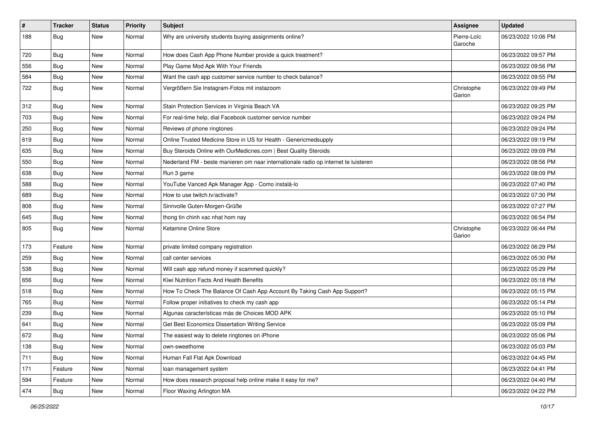| $\vert$ # | <b>Tracker</b> | <b>Status</b> | <b>Priority</b> | <b>Subject</b>                                                                      | <b>Assignee</b>        | <b>Updated</b>      |
|-----------|----------------|---------------|-----------------|-------------------------------------------------------------------------------------|------------------------|---------------------|
| 188       | Bug            | New           | Normal          | Why are university students buying assignments online?                              | Pierre-Loïc<br>Garoche | 06/23/2022 10:06 PM |
| 720       | <b>Bug</b>     | New           | Normal          | How does Cash App Phone Number provide a quick treatment?                           |                        | 06/23/2022 09:57 PM |
| 556       | <b>Bug</b>     | New           | Normal          | Play Game Mod Apk With Your Friends                                                 |                        | 06/23/2022 09:56 PM |
| 584       | Bug            | New           | Normal          | Want the cash app customer service number to check balance?                         |                        | 06/23/2022 09:55 PM |
| 722       | Bug            | New           | Normal          | Vergrößern Sie Instagram-Fotos mit instazoom                                        | Christophe<br>Garion   | 06/23/2022 09:49 PM |
| 312       | Bug            | <b>New</b>    | Normal          | Stain Protection Services in Virginia Beach VA                                      |                        | 06/23/2022 09:25 PM |
| 703       | Bug            | New           | Normal          | For real-time help, dial Facebook customer service number                           |                        | 06/23/2022 09:24 PM |
| 250       | <b>Bug</b>     | New           | Normal          | Reviews of phone ringtones                                                          |                        | 06/23/2022 09:24 PM |
| 619       | Bug            | New           | Normal          | Online Trusted Medicine Store in US for Health - Genericmedsupply                   |                        | 06/23/2022 09:19 PM |
| 635       | <b>Bug</b>     | New           | Normal          | Buy Steroids Online with OurMedicnes.com   Best Quality Steroids                    |                        | 06/23/2022 09:09 PM |
| 550       | Bug            | New           | Normal          | Nederland FM - beste manieren om naar internationale radio op internet te luisteren |                        | 06/23/2022 08:56 PM |
| 638       | <b>Bug</b>     | New           | Normal          | Run 3 game                                                                          |                        | 06/23/2022 08:09 PM |
| 588       | <b>Bug</b>     | New           | Normal          | YouTube Vanced Apk Manager App - Como instalá-lo                                    |                        | 06/23/2022 07:40 PM |
| 689       | <b>Bug</b>     | New           | Normal          | How to use twitch.tv/activate?                                                      |                        | 06/23/2022 07:30 PM |
| 808       | <b>Bug</b>     | New           | Normal          | Sinnvolle Guten-Morgen-Grüße                                                        |                        | 06/23/2022 07:27 PM |
| 645       | Bug            | New           | Normal          | thong tin chinh xac nhat hom nay                                                    |                        | 06/23/2022 06:54 PM |
| 805       | Bug            | New           | Normal          | Ketamine Online Store                                                               | Christophe<br>Garion   | 06/23/2022 06:44 PM |
| 173       | Feature        | New           | Normal          | private limited company registration                                                |                        | 06/23/2022 06:29 PM |
| 259       | Bug            | New           | Normal          | call center services                                                                |                        | 06/23/2022 05:30 PM |
| 538       | <b>Bug</b>     | New           | Normal          | Will cash app refund money if scammed quickly?                                      |                        | 06/23/2022 05:29 PM |
| 656       | <b>Bug</b>     | New           | Normal          | Kiwi Nutrition Facts And Health Benefits                                            |                        | 06/23/2022 05:18 PM |
| 518       | <b>Bug</b>     | New           | Normal          | How To Check The Balance Of Cash App Account By Taking Cash App Support?            |                        | 06/23/2022 05:15 PM |
| 765       | Bug            | New           | Normal          | Follow proper initiatives to check my cash app                                      |                        | 06/23/2022 05:14 PM |
| 239       | Bug            | New           | Normal          | Algunas características más de Choices MOD APK                                      |                        | 06/23/2022 05:10 PM |
| 641       | <b>Bug</b>     | New           | Normal          | Get Best Economics Dissertation Writing Service                                     |                        | 06/23/2022 05:09 PM |
| 672       | Bug            | New           | Normal          | The easiest way to delete ringtones on iPhone                                       |                        | 06/23/2022 05:06 PM |
| 138       | <b>Bug</b>     | New           | Normal          | own-sweethome                                                                       |                        | 06/23/2022 05:03 PM |
| 711       | <b>Bug</b>     | New           | Normal          | Human Fall Flat Apk Download                                                        |                        | 06/23/2022 04:45 PM |
| 171       | Feature        | New           | Normal          | loan management system                                                              |                        | 06/23/2022 04:41 PM |
| 594       | Feature        | New           | Normal          | How does research proposal help online make it easy for me?                         |                        | 06/23/2022 04:40 PM |
| 474       | <b>Bug</b>     | New           | Normal          | Floor Waxing Arlington MA                                                           |                        | 06/23/2022 04:22 PM |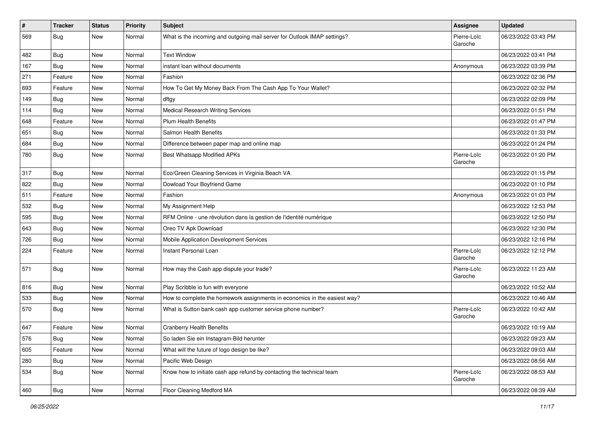| $\pmb{\#}$ | <b>Tracker</b> | <b>Status</b> | Priority | <b>Subject</b>                                                            | <b>Assignee</b>        | <b>Updated</b>      |
|------------|----------------|---------------|----------|---------------------------------------------------------------------------|------------------------|---------------------|
| 569        | <b>Bug</b>     | New           | Normal   | What is the incoming and outgoing mail server for Outlook IMAP settings?  | Pierre-Loïc<br>Garoche | 06/23/2022 03:43 PM |
| 482        | Bug            | New           | Normal   | <b>Text Window</b>                                                        |                        | 06/23/2022 03:41 PM |
| 167        | <b>Bug</b>     | New           | Normal   | instant loan without documents                                            | Anonymous              | 06/23/2022 03:39 PM |
| 271        | Feature        | New           | Normal   | Fashion                                                                   |                        | 06/23/2022 02:36 PM |
| 693        | Feature        | New           | Normal   | How To Get My Money Back From The Cash App To Your Wallet?                |                        | 06/23/2022 02:32 PM |
| 149        | <b>Bug</b>     | New           | Normal   | dftgy                                                                     |                        | 06/23/2022 02:09 PM |
| 114        | <b>Bug</b>     | New           | Normal   | <b>Medical Research Writing Services</b>                                  |                        | 06/23/2022 01:51 PM |
| 648        | Feature        | New           | Normal   | <b>Plum Health Benefits</b>                                               |                        | 06/23/2022 01:47 PM |
| 651        | <b>Bug</b>     | New           | Normal   | Salmon Health Benefits                                                    |                        | 06/23/2022 01:33 PM |
| 684        | Bug            | New           | Normal   | Difference between paper map and online map                               |                        | 06/23/2022 01:24 PM |
| 780        | <b>Bug</b>     | New           | Normal   | Best Whatsapp Modified APKs                                               | Pierre-Loïc<br>Garoche | 06/23/2022 01:20 PM |
| 317        | <b>Bug</b>     | New           | Normal   | Eco/Green Cleaning Services in Virginia Beach VA                          |                        | 06/23/2022 01:15 PM |
| 822        | Bug            | New           | Normal   | Dowload Your Boyfriend Game                                               |                        | 06/23/2022 01:10 PM |
| 511        | Feature        | New           | Normal   | Fashion                                                                   | Anonymous              | 06/23/2022 01:03 PM |
| 532        | <b>Bug</b>     | New           | Normal   | My Assignment Help                                                        |                        | 06/23/2022 12:53 PM |
| 595        | <b>Bug</b>     | New           | Normal   | RFM Online - une révolution dans la gestion de l'identité numérique       |                        | 06/23/2022 12:50 PM |
| 643        | <b>Bug</b>     | New           | Normal   | Oreo TV Apk Download                                                      |                        | 06/23/2022 12:30 PM |
| 726        | <b>Bug</b>     | New           | Normal   | Mobile Application Development Services                                   |                        | 06/23/2022 12:16 PM |
| 224        | Feature        | New           | Normal   | Instant Personal Loan                                                     | Pierre-Loïc<br>Garoche | 06/23/2022 12:12 PM |
| 571        | Bug            | New           | Normal   | How may the Cash app dispute your trade?                                  | Pierre-Loïc<br>Garoche | 06/23/2022 11:23 AM |
| 816        | <b>Bug</b>     | New           | Normal   | Play Scribble io fun with everyone                                        |                        | 06/23/2022 10:52 AM |
| 533        | <b>Bug</b>     | New           | Normal   | How to complete the homework assignments in economics in the easiest way? |                        | 06/23/2022 10:46 AM |
| 570        | <b>Bug</b>     | New           | Normal   | What is Sutton bank cash app customer service phone number?               | Pierre-Loïc<br>Garoche | 06/23/2022 10:42 AM |
| 647        | Feature        | New           | Normal   | <b>Cranberry Health Benefits</b>                                          |                        | 06/23/2022 10:19 AM |
| 576        | Bug            | New           | Normal   | So laden Sie ein Instagram-Bild herunter                                  |                        | 06/23/2022 09:23 AM |
| 605        | Feature        | New           | Normal   | What will the future of logo design be like?                              |                        | 06/23/2022 09:03 AM |
| 280        | <b>Bug</b>     | New           | Normal   | Pacific Web Design                                                        |                        | 06/23/2022 08:56 AM |
| 534        | <b>Bug</b>     | New           | Normal   | Know how to initiate cash app refund by contacting the technical team     | Pierre-Loïc<br>Garoche | 06/23/2022 08:53 AM |
| 460        | <b>Bug</b>     | New           | Normal   | Floor Cleaning Medford MA                                                 |                        | 06/23/2022 08:39 AM |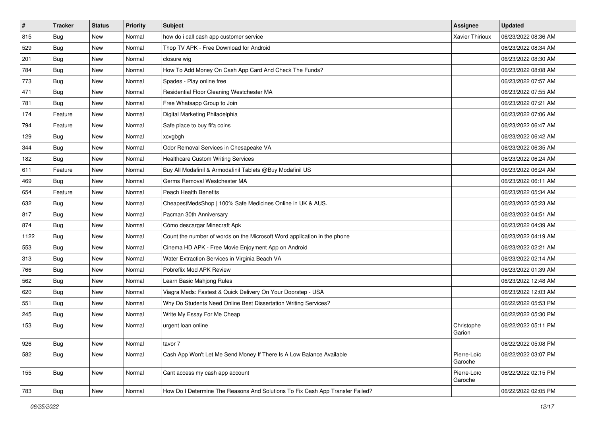| $\vert$ # | <b>Tracker</b> | <b>Status</b> | <b>Priority</b> | <b>Subject</b>                                                                | <b>Assignee</b>        | <b>Updated</b>      |
|-----------|----------------|---------------|-----------------|-------------------------------------------------------------------------------|------------------------|---------------------|
| 815       | <b>Bug</b>     | New           | Normal          | how do i call cash app customer service                                       | <b>Xavier Thirioux</b> | 06/23/2022 08:36 AM |
| 529       | Bug            | New           | Normal          | Thop TV APK - Free Download for Android                                       |                        | 06/23/2022 08:34 AM |
| 201       | Bug            | New           | Normal          | closure wig                                                                   |                        | 06/23/2022 08:30 AM |
| 784       | <b>Bug</b>     | New           | Normal          | How To Add Money On Cash App Card And Check The Funds?                        |                        | 06/23/2022 08:08 AM |
| 773       | Bug            | New           | Normal          | Spades - Play online free                                                     |                        | 06/23/2022 07:57 AM |
| 471       | <b>Bug</b>     | New           | Normal          | Residential Floor Cleaning Westchester MA                                     |                        | 06/23/2022 07:55 AM |
| 781       | <b>Bug</b>     | New           | Normal          | Free Whatsapp Group to Join                                                   |                        | 06/23/2022 07:21 AM |
| 174       | Feature        | New           | Normal          | Digital Marketing Philadelphia                                                |                        | 06/23/2022 07:06 AM |
| 794       | Feature        | New           | Normal          | Safe place to buy fifa coins                                                  |                        | 06/23/2022 06:47 AM |
| 129       | <b>Bug</b>     | New           | Normal          | xcvgbgh                                                                       |                        | 06/23/2022 06:42 AM |
| 344       | <b>Bug</b>     | New           | Normal          | Odor Removal Services in Chesapeake VA                                        |                        | 06/23/2022 06:35 AM |
| 182       | <b>Bug</b>     | New           | Normal          | <b>Healthcare Custom Writing Services</b>                                     |                        | 06/23/2022 06:24 AM |
| 611       | Feature        | New           | Normal          | Buy All Modafinil & Armodafinil Tablets @Buy Modafinil US                     |                        | 06/23/2022 06:24 AM |
| 469       | Bug            | New           | Normal          | Germs Removal Westchester MA                                                  |                        | 06/23/2022 06:11 AM |
| 654       | Feature        | New           | Normal          | Peach Health Benefits                                                         |                        | 06/23/2022 05:34 AM |
| 632       | <b>Bug</b>     | New           | Normal          | CheapestMedsShop   100% Safe Medicines Online in UK & AUS.                    |                        | 06/23/2022 05:23 AM |
| 817       | <b>Bug</b>     | New           | Normal          | Pacman 30th Anniversary                                                       |                        | 06/23/2022 04:51 AM |
| 874       | Bug            | New           | Normal          | Cómo descargar Minecraft Apk                                                  |                        | 06/23/2022 04:39 AM |
| 1122      | <b>Bug</b>     | New           | Normal          | Count the number of words on the Microsoft Word application in the phone      |                        | 06/23/2022 04:19 AM |
| 553       | Bug            | New           | Normal          | Cinema HD APK - Free Movie Enjoyment App on Android                           |                        | 06/23/2022 02:21 AM |
| 313       | Bug            | New           | Normal          | Water Extraction Services in Virginia Beach VA                                |                        | 06/23/2022 02:14 AM |
| 766       | <b>Bug</b>     | New           | Normal          | Pobreflix Mod APK Review                                                      |                        | 06/23/2022 01:39 AM |
| 562       | Bug            | New           | Normal          | Learn Basic Mahjong Rules                                                     |                        | 06/23/2022 12:48 AM |
| 620       | Bug            | New           | Normal          | Viagra Meds: Fastest & Quick Delivery On Your Doorstep - USA                  |                        | 06/23/2022 12:03 AM |
| 551       | Bug            | New           | Normal          | Why Do Students Need Online Best Dissertation Writing Services?               |                        | 06/22/2022 05:53 PM |
| 245       | <b>Bug</b>     | New           | Normal          | Write My Essay For Me Cheap                                                   |                        | 06/22/2022 05:30 PM |
| 153       | <b>Bug</b>     | New           | Normal          | urgent loan online                                                            | Christophe<br>Garion   | 06/22/2022 05:11 PM |
| 926       | <b>Bug</b>     | New           | Normal          | tavor 7                                                                       |                        | 06/22/2022 05:08 PM |
| 582       | <b>Bug</b>     | New           | Normal          | Cash App Won't Let Me Send Money If There Is A Low Balance Available          | Pierre-Loïc<br>Garoche | 06/22/2022 03:07 PM |
| 155       | <b>Bug</b>     | New           | Normal          | Cant access my cash app account                                               | Pierre-Loïc<br>Garoche | 06/22/2022 02:15 PM |
| 783       | <b>Bug</b>     | New           | Normal          | How Do I Determine The Reasons And Solutions To Fix Cash App Transfer Failed? |                        | 06/22/2022 02:05 PM |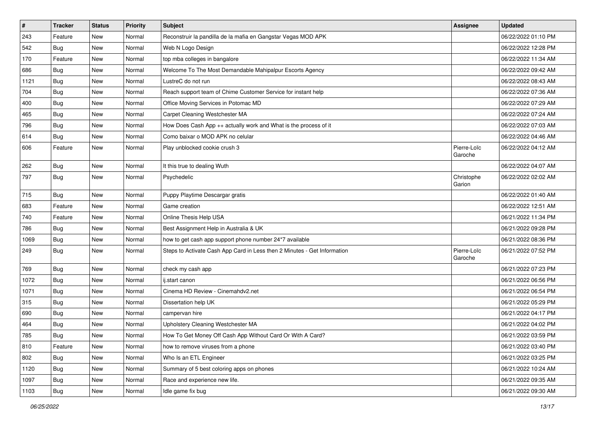| #    | <b>Tracker</b> | <b>Status</b> | <b>Priority</b> | Subject                                                                  | <b>Assignee</b>        | <b>Updated</b>      |
|------|----------------|---------------|-----------------|--------------------------------------------------------------------------|------------------------|---------------------|
| 243  | Feature        | New           | Normal          | Reconstruir la pandilla de la mafia en Gangstar Vegas MOD APK            |                        | 06/22/2022 01:10 PM |
| 542  | Bug            | New           | Normal          | Web N Logo Design                                                        |                        | 06/22/2022 12:28 PM |
| 170  | Feature        | New           | Normal          | top mba colleges in bangalore                                            |                        | 06/22/2022 11:34 AM |
| 686  | Bug            | New           | Normal          | Welcome To The Most Demandable Mahipalpur Escorts Agency                 |                        | 06/22/2022 09:42 AM |
| 1121 | <b>Bug</b>     | New           | Normal          | LustreC do not run                                                       |                        | 06/22/2022 08:43 AM |
| 704  | <b>Bug</b>     | New           | Normal          | Reach support team of Chime Customer Service for instant help            |                        | 06/22/2022 07:36 AM |
| 400  | <b>Bug</b>     | New           | Normal          | Office Moving Services in Potomac MD                                     |                        | 06/22/2022 07:29 AM |
| 465  | Bug            | New           | Normal          | Carpet Cleaning Westchester MA                                           |                        | 06/22/2022 07:24 AM |
| 796  | Bug            | New           | Normal          | How Does Cash App ++ actually work and What is the process of it         |                        | 06/22/2022 07:03 AM |
| 614  | <b>Bug</b>     | New           | Normal          | Como baixar o MOD APK no celular                                         |                        | 06/22/2022 04:46 AM |
| 606  | Feature        | New           | Normal          | Play unblocked cookie crush 3                                            | Pierre-Loïc<br>Garoche | 06/22/2022 04:12 AM |
| 262  | Bug            | New           | Normal          | It this true to dealing Wuth                                             |                        | 06/22/2022 04:07 AM |
| 797  | Bug            | New           | Normal          | Psychedelic                                                              | Christophe<br>Garion   | 06/22/2022 02:02 AM |
| 715  | Bug            | New           | Normal          | Puppy Playtime Descargar gratis                                          |                        | 06/22/2022 01:40 AM |
| 683  | Feature        | New           | Normal          | Game creation                                                            |                        | 06/22/2022 12:51 AM |
| 740  | Feature        | New           | Normal          | Online Thesis Help USA                                                   |                        | 06/21/2022 11:34 PM |
| 786  | <b>Bug</b>     | New           | Normal          | Best Assignment Help in Australia & UK                                   |                        | 06/21/2022 09:28 PM |
| 1069 | <b>Bug</b>     | New           | Normal          | how to get cash app support phone number 24*7 available                  |                        | 06/21/2022 08:36 PM |
| 249  | Bug            | New           | Normal          | Steps to Activate Cash App Card in Less then 2 Minutes - Get Information | Pierre-Loïc<br>Garoche | 06/21/2022 07:52 PM |
| 769  | Bug            | New           | Normal          | check my cash app                                                        |                        | 06/21/2022 07:23 PM |
| 1072 | Bug            | New           | Normal          | ij.start canon                                                           |                        | 06/21/2022 06:56 PM |
| 1071 | Bug            | New           | Normal          | Cinema HD Review - Cinemahdv2.net                                        |                        | 06/21/2022 06:54 PM |
| 315  | <b>Bug</b>     | New           | Normal          | Dissertation help UK                                                     |                        | 06/21/2022 05:29 PM |
| 690  | <b>Bug</b>     | New           | Normal          | campervan hire                                                           |                        | 06/21/2022 04:17 PM |
| 464  | <b>Bug</b>     | New           | Normal          | Upholstery Cleaning Westchester MA                                       |                        | 06/21/2022 04:02 PM |
| 785  | <b>Bug</b>     | New           | Normal          | How To Get Money Off Cash App Without Card Or With A Card?               |                        | 06/21/2022 03:59 PM |
| 810  | Feature        | New           | Normal          | how to remove viruses from a phone                                       |                        | 06/21/2022 03:40 PM |
| 802  | <b>Bug</b>     | New           | Normal          | Who Is an ETL Engineer                                                   |                        | 06/21/2022 03:25 PM |
| 1120 | <b>Bug</b>     | New           | Normal          | Summary of 5 best coloring apps on phones                                |                        | 06/21/2022 10:24 AM |
| 1097 | <b>Bug</b>     | New           | Normal          | Race and experience new life.                                            |                        | 06/21/2022 09:35 AM |
| 1103 | <b>Bug</b>     | New           | Normal          | Idle game fix bug                                                        |                        | 06/21/2022 09:30 AM |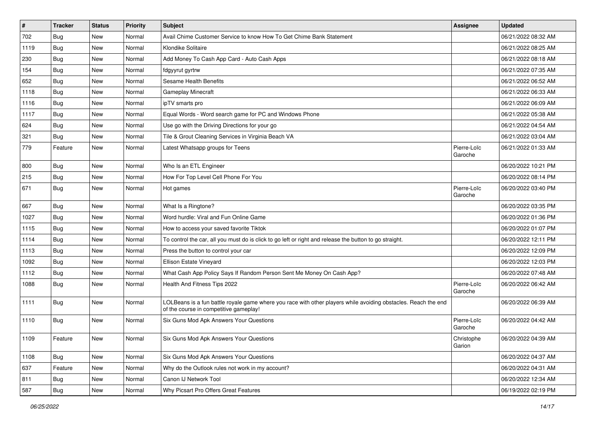| #    | <b>Tracker</b> | <b>Status</b> | Priority | <b>Subject</b>                                                                                                                                           | <b>Assignee</b>        | <b>Updated</b>      |
|------|----------------|---------------|----------|----------------------------------------------------------------------------------------------------------------------------------------------------------|------------------------|---------------------|
| 702  | <b>Bug</b>     | New           | Normal   | Avail Chime Customer Service to know How To Get Chime Bank Statement                                                                                     |                        | 06/21/2022 08:32 AM |
| 1119 | Bug            | New           | Normal   | Klondike Solitaire                                                                                                                                       |                        | 06/21/2022 08:25 AM |
| 230  | Bug            | New           | Normal   | Add Money To Cash App Card - Auto Cash Apps                                                                                                              |                        | 06/21/2022 08:18 AM |
| 154  | <b>Bug</b>     | New           | Normal   | fdgyyrut gyrtrw                                                                                                                                          |                        | 06/21/2022 07:35 AM |
| 652  | Bug            | New           | Normal   | Sesame Health Benefits                                                                                                                                   |                        | 06/21/2022 06:52 AM |
| 1118 | Bug            | New           | Normal   | <b>Gameplay Minecraft</b>                                                                                                                                |                        | 06/21/2022 06:33 AM |
| 1116 | Bug            | New           | Normal   | ipTV smarts pro                                                                                                                                          |                        | 06/21/2022 06:09 AM |
| 1117 | Bug            | New           | Normal   | Equal Words - Word search game for PC and Windows Phone                                                                                                  |                        | 06/21/2022 05:38 AM |
| 624  | Bug            | New           | Normal   | Use go with the Driving Directions for your go                                                                                                           |                        | 06/21/2022 04:54 AM |
| 321  | <b>Bug</b>     | New           | Normal   | Tile & Grout Cleaning Services in Virginia Beach VA                                                                                                      |                        | 06/21/2022 03:04 AM |
| 779  | Feature        | New           | Normal   | Latest Whatsapp groups for Teens                                                                                                                         | Pierre-Loïc<br>Garoche | 06/21/2022 01:33 AM |
| 800  | <b>Bug</b>     | New           | Normal   | Who Is an ETL Engineer                                                                                                                                   |                        | 06/20/2022 10:21 PM |
| 215  | Bug            | New           | Normal   | How For Top Level Cell Phone For You                                                                                                                     |                        | 06/20/2022 08:14 PM |
| 671  | <b>Bug</b>     | New           | Normal   | Hot games                                                                                                                                                | Pierre-Loïc<br>Garoche | 06/20/2022 03:40 PM |
| 667  | Bug            | New           | Normal   | What Is a Ringtone?                                                                                                                                      |                        | 06/20/2022 03:35 PM |
| 1027 | Bug            | <b>New</b>    | Normal   | Word hurdle: Viral and Fun Online Game                                                                                                                   |                        | 06/20/2022 01:36 PM |
| 1115 | <b>Bug</b>     | New           | Normal   | How to access your saved favorite Tiktok                                                                                                                 |                        | 06/20/2022 01:07 PM |
| 1114 | Bug            | New           | Normal   | To control the car, all you must do is click to go left or right and release the button to go straight.                                                  |                        | 06/20/2022 12:11 PM |
| 1113 | Bug            | New           | Normal   | Press the button to control your car                                                                                                                     |                        | 06/20/2022 12:09 PM |
| 1092 | <b>Bug</b>     | New           | Normal   | Ellison Estate Vineyard                                                                                                                                  |                        | 06/20/2022 12:03 PM |
| 1112 | <b>Bug</b>     | New           | Normal   | What Cash App Policy Says If Random Person Sent Me Money On Cash App?                                                                                    |                        | 06/20/2022 07:48 AM |
| 1088 | <b>Bug</b>     | New           | Normal   | Health And Fitness Tips 2022                                                                                                                             | Pierre-Loïc<br>Garoche | 06/20/2022 06:42 AM |
| 1111 | <b>Bug</b>     | New           | Normal   | LOLBeans is a fun battle royale game where you race with other players while avoiding obstacles. Reach the end<br>of the course in competitive gameplay! |                        | 06/20/2022 06:39 AM |
| 1110 | <b>Bug</b>     | New           | Normal   | Six Guns Mod Apk Answers Your Questions                                                                                                                  | Pierre-Loïc<br>Garoche | 06/20/2022 04:42 AM |
| 1109 | Feature        | New           | Normal   | <b>Six Guns Mod Apk Answers Your Questions</b>                                                                                                           | Christophe<br>Garion   | 06/20/2022 04:39 AM |
| 1108 | <b>Bug</b>     | New           | Normal   | Six Guns Mod Apk Answers Your Questions                                                                                                                  |                        | 06/20/2022 04:37 AM |
| 637  | Feature        | New           | Normal   | Why do the Outlook rules not work in my account?                                                                                                         |                        | 06/20/2022 04:31 AM |
| 811  | <b>Bug</b>     | New           | Normal   | Canon IJ Network Tool                                                                                                                                    |                        | 06/20/2022 12:34 AM |
| 587  | <b>Bug</b>     | New           | Normal   | Why Picsart Pro Offers Great Features                                                                                                                    |                        | 06/19/2022 02:19 PM |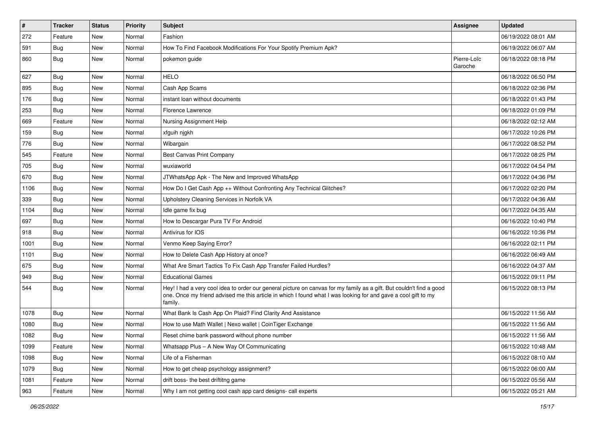| #    | <b>Tracker</b> | <b>Status</b> | <b>Priority</b> | <b>Subject</b>                                                                                                                                                                                                                                    | <b>Assignee</b>        | <b>Updated</b>      |
|------|----------------|---------------|-----------------|---------------------------------------------------------------------------------------------------------------------------------------------------------------------------------------------------------------------------------------------------|------------------------|---------------------|
| 272  | Feature        | New           | Normal          | Fashion                                                                                                                                                                                                                                           |                        | 06/19/2022 08:01 AM |
| 591  | Bug            | New           | Normal          | How To Find Facebook Modifications For Your Spotify Premium Apk?                                                                                                                                                                                  |                        | 06/19/2022 06:07 AM |
| 860  | Bug            | New           | Normal          | pokemon guide                                                                                                                                                                                                                                     | Pierre-Loïc<br>Garoche | 06/18/2022 08:18 PM |
| 627  | <b>Bug</b>     | New           | Normal          | <b>HELO</b>                                                                                                                                                                                                                                       |                        | 06/18/2022 06:50 PM |
| 895  | <b>Bug</b>     | New           | Normal          | Cash App Scams                                                                                                                                                                                                                                    |                        | 06/18/2022 02:36 PM |
| 176  | Bug            | New           | Normal          | instant loan without documents                                                                                                                                                                                                                    |                        | 06/18/2022 01:43 PM |
| 253  | Bug            | New           | Normal          | Florence Lawrence                                                                                                                                                                                                                                 |                        | 06/18/2022 01:09 PM |
| 669  | Feature        | New           | Normal          | Nursing Assignment Help                                                                                                                                                                                                                           |                        | 06/18/2022 02:12 AM |
| 159  | <b>Bug</b>     | New           | Normal          | xfguih njgkh                                                                                                                                                                                                                                      |                        | 06/17/2022 10:26 PM |
| 776  | <b>Bug</b>     | New           | Normal          | Wibargain                                                                                                                                                                                                                                         |                        | 06/17/2022 08:52 PM |
| 545  | Feature        | New           | Normal          | Best Canvas Print Company                                                                                                                                                                                                                         |                        | 06/17/2022 08:25 PM |
| 705  | Bug            | New           | Normal          | wuxiaworld                                                                                                                                                                                                                                        |                        | 06/17/2022 04:54 PM |
| 670  | <b>Bug</b>     | New           | Normal          | JTWhatsApp Apk - The New and Improved WhatsApp                                                                                                                                                                                                    |                        | 06/17/2022 04:36 PM |
| 1106 | Bug            | New           | Normal          | How Do I Get Cash App ++ Without Confronting Any Technical Glitches?                                                                                                                                                                              |                        | 06/17/2022 02:20 PM |
| 339  | Bug            | New           | Normal          | Upholstery Cleaning Services in Norfolk VA                                                                                                                                                                                                        |                        | 06/17/2022 04:36 AM |
| 1104 | <b>Bug</b>     | New           | Normal          | Idle game fix bug                                                                                                                                                                                                                                 |                        | 06/17/2022 04:35 AM |
| 697  | <b>Bug</b>     | New           | Normal          | How to Descargar Pura TV For Android                                                                                                                                                                                                              |                        | 06/16/2022 10:40 PM |
| 918  | <b>Bug</b>     | New           | Normal          | Antivirus for IOS                                                                                                                                                                                                                                 |                        | 06/16/2022 10:36 PM |
| 1001 | Bug            | New           | Normal          | Venmo Keep Saying Error?                                                                                                                                                                                                                          |                        | 06/16/2022 02:11 PM |
| 1101 | Bug            | New           | Normal          | How to Delete Cash App History at once?                                                                                                                                                                                                           |                        | 06/16/2022 06:49 AM |
| 675  | <b>Bug</b>     | New           | Normal          | What Are Smart Tactics To Fix Cash App Transfer Failed Hurdles?                                                                                                                                                                                   |                        | 06/16/2022 04:37 AM |
| 949  | <b>Bug</b>     | New           | Normal          | <b>Educational Games</b>                                                                                                                                                                                                                          |                        | 06/15/2022 09:11 PM |
| 544  | <b>Bug</b>     | New           | Normal          | Hey! I had a very cool idea to order our general picture on canvas for my family as a gift. But couldn't find a good<br>one. Once my friend advised me this article in which I found what I was looking for and gave a cool gift to my<br>family. |                        | 06/15/2022 08:13 PM |
| 1078 | <b>Bug</b>     | New           | Normal          | What Bank Is Cash App On Plaid? Find Clarity And Assistance                                                                                                                                                                                       |                        | 06/15/2022 11:56 AM |
| 1080 | <b>Bug</b>     | New           | Normal          | How to use Math Wallet   Nexo wallet   CoinTiger Exchange                                                                                                                                                                                         |                        | 06/15/2022 11:56 AM |
| 1082 | Bug            | New           | Normal          | Reset chime bank password without phone number                                                                                                                                                                                                    |                        | 06/15/2022 11:56 AM |
| 1099 | Feature        | New           | Normal          | Whatsapp Plus - A New Way Of Communicating                                                                                                                                                                                                        |                        | 06/15/2022 10:48 AM |
| 1098 | <b>Bug</b>     | New           | Normal          | Life of a Fisherman                                                                                                                                                                                                                               |                        | 06/15/2022 08:10 AM |
| 1079 | Bug            | New           | Normal          | How to get cheap psychology assignment?                                                                                                                                                                                                           |                        | 06/15/2022 06:00 AM |
| 1081 | Feature        | New           | Normal          | drift boss- the best driftitng game                                                                                                                                                                                                               |                        | 06/15/2022 05:56 AM |
| 963  | Feature        | New           | Normal          | Why I am not getting cool cash app card designs- call experts                                                                                                                                                                                     |                        | 06/15/2022 05:21 AM |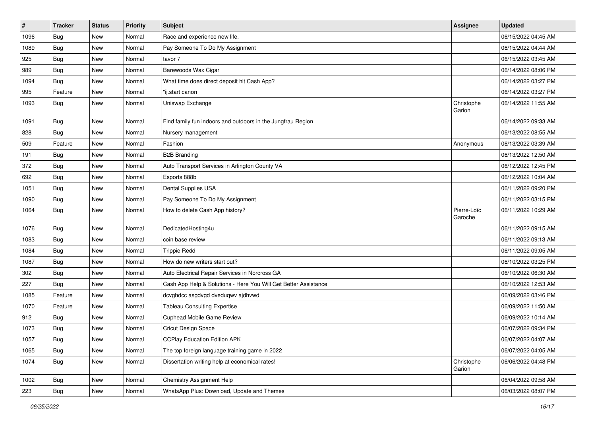| $\pmb{\#}$ | <b>Tracker</b> | <b>Status</b> | Priority | <b>Subject</b>                                                  | <b>Assignee</b>        | <b>Updated</b>      |
|------------|----------------|---------------|----------|-----------------------------------------------------------------|------------------------|---------------------|
| 1096       | <b>Bug</b>     | New           | Normal   | Race and experience new life.                                   |                        | 06/15/2022 04:45 AM |
| 1089       | <b>Bug</b>     | New           | Normal   | Pay Someone To Do My Assignment                                 |                        | 06/15/2022 04:44 AM |
| 925        | <b>Bug</b>     | New           | Normal   | tavor 7                                                         |                        | 06/15/2022 03:45 AM |
| 989        | Bug            | New           | Normal   | Barewoods Wax Cigar                                             |                        | 06/14/2022 08:06 PM |
| 1094       | <b>Bug</b>     | New           | Normal   | What time does direct deposit hit Cash App?                     |                        | 06/14/2022 03:27 PM |
| 995        | Feature        | New           | Normal   | "ij.start canon                                                 |                        | 06/14/2022 03:27 PM |
| 1093       | <b>Bug</b>     | New           | Normal   | Uniswap Exchange                                                | Christophe<br>Garion   | 06/14/2022 11:55 AM |
| 1091       | Bug            | New           | Normal   | Find family fun indoors and outdoors in the Jungfrau Region     |                        | 06/14/2022 09:33 AM |
| 828        | Bug            | <b>New</b>    | Normal   | Nursery management                                              |                        | 06/13/2022 08:55 AM |
| 509        | Feature        | New           | Normal   | Fashion                                                         | Anonymous              | 06/13/2022 03:39 AM |
| 191        | <b>Bug</b>     | New           | Normal   | <b>B2B Branding</b>                                             |                        | 06/13/2022 12:50 AM |
| 372        | <b>Bug</b>     | New           | Normal   | Auto Transport Services in Arlington County VA                  |                        | 06/12/2022 12:45 PM |
| 692        | Bug            | New           | Normal   | Esports 888b                                                    |                        | 06/12/2022 10:04 AM |
| 1051       | <b>Bug</b>     | New           | Normal   | <b>Dental Supplies USA</b>                                      |                        | 06/11/2022 09:20 PM |
| 1090       | <b>Bug</b>     | New           | Normal   | Pay Someone To Do My Assignment                                 |                        | 06/11/2022 03:15 PM |
| 1064       | <b>Bug</b>     | New           | Normal   | How to delete Cash App history?                                 | Pierre-Loïc<br>Garoche | 06/11/2022 10:29 AM |
| 1076       | Bug            | New           | Normal   | DedicatedHosting4u                                              |                        | 06/11/2022 09:15 AM |
| 1083       | Bug            | New           | Normal   | coin base review                                                |                        | 06/11/2022 09:13 AM |
| 1084       | Bug            | New           | Normal   | <b>Trippie Redd</b>                                             |                        | 06/11/2022 09:05 AM |
| 1087       | Bug            | New           | Normal   | How do new writers start out?                                   |                        | 06/10/2022 03:25 PM |
| 302        | <b>Bug</b>     | New           | Normal   | Auto Electrical Repair Services in Norcross GA                  |                        | 06/10/2022 06:30 AM |
| 227        | Bug            | New           | Normal   | Cash App Help & Solutions - Here You Will Get Better Assistance |                        | 06/10/2022 12:53 AM |
| 1085       | Feature        | New           | Normal   | dcvghdcc asgdvgd dveduqwv ajdhvwd                               |                        | 06/09/2022 03:46 PM |
| 1070       | Feature        | New           | Normal   | <b>Tableau Consulting Expertise</b>                             |                        | 06/09/2022 11:50 AM |
| 912        | Bug            | New           | Normal   | Cuphead Mobile Game Review                                      |                        | 06/09/2022 10:14 AM |
| 1073       | <b>Bug</b>     | New           | Normal   | Cricut Design Space                                             |                        | 06/07/2022 09:34 PM |
| 1057       | <b>Bug</b>     | New           | Normal   | <b>CCPlay Education Edition APK</b>                             |                        | 06/07/2022 04:07 AM |
| 1065       | Bug            | New           | Normal   | The top foreign language training game in 2022                  |                        | 06/07/2022 04:05 AM |
| 1074       | <b>Bug</b>     | New           | Normal   | Dissertation writing help at economical rates!                  | Christophe<br>Garion   | 06/06/2022 04:48 PM |
| 1002       | <b>Bug</b>     | New           | Normal   | <b>Chemistry Assignment Help</b>                                |                        | 06/04/2022 09:58 AM |
| 223        | <b>Bug</b>     | New           | Normal   | WhatsApp Plus: Download, Update and Themes                      |                        | 06/03/2022 08:07 PM |